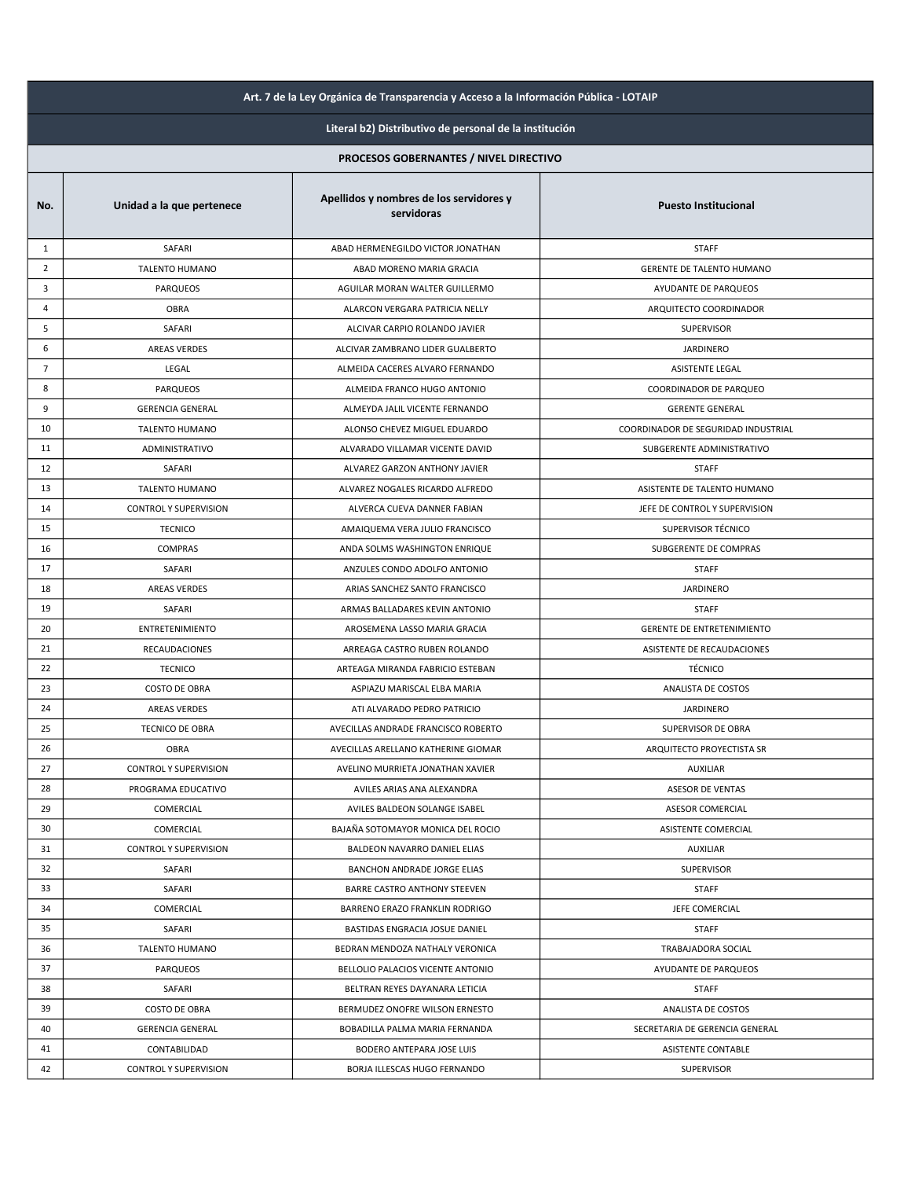| Art. 7 de la Ley Orgánica de Transparencia y Acceso a la Información Pública - LOTAIP |                              |                                                       |                                     |
|---------------------------------------------------------------------------------------|------------------------------|-------------------------------------------------------|-------------------------------------|
| Literal b2) Distributivo de personal de la institución                                |                              |                                                       |                                     |
|                                                                                       |                              | PROCESOS GOBERNANTES / NIVEL DIRECTIVO                |                                     |
| No.                                                                                   | Unidad a la que pertenece    | Apellidos y nombres de los servidores y<br>servidoras | <b>Puesto Institucional</b>         |
| 1                                                                                     | SAFARI                       | ABAD HERMENEGILDO VICTOR JONATHAN                     | <b>STAFF</b>                        |
| $\overline{2}$                                                                        | <b>TALENTO HUMANO</b>        | ABAD MORENO MARIA GRACIA                              | GERENTE DE TALENTO HUMANO           |
| 3                                                                                     | <b>PARQUEOS</b>              | AGUILAR MORAN WALTER GUILLERMO                        | AYUDANTE DE PARQUEOS                |
| 4                                                                                     | OBRA                         | ALARCON VERGARA PATRICIA NELLY                        | ARQUITECTO COORDINADOR              |
| 5                                                                                     | SAFARI                       | ALCIVAR CARPIO ROLANDO JAVIER                         | SUPERVISOR                          |
| 6                                                                                     | <b>AREAS VERDES</b>          | ALCIVAR ZAMBRANO LIDER GUALBERTO                      | <b>JARDINERO</b>                    |
| $\overline{7}$                                                                        | LEGAL                        | ALMEIDA CACERES ALVARO FERNANDO                       | ASISTENTE LEGAL                     |
| 8                                                                                     | <b>PARQUEOS</b>              | ALMEIDA FRANCO HUGO ANTONIO                           | COORDINADOR DE PARQUEO              |
| 9                                                                                     | <b>GERENCIA GENERAL</b>      | ALMEYDA JALIL VICENTE FERNANDO                        | <b>GERENTE GENERAL</b>              |
| 10                                                                                    | <b>TALENTO HUMANO</b>        | ALONSO CHEVEZ MIGUEL EDUARDO                          | COORDINADOR DE SEGURIDAD INDUSTRIAL |
| 11                                                                                    | ADMINISTRATIVO               | ALVARADO VILLAMAR VICENTE DAVID                       | SUBGERENTE ADMINISTRATIVO           |
| 12                                                                                    | SAFARI                       | ALVAREZ GARZON ANTHONY JAVIER                         | <b>STAFF</b>                        |
| 13                                                                                    | <b>TALENTO HUMANO</b>        | ALVAREZ NOGALES RICARDO ALFREDO                       | ASISTENTE DE TALENTO HUMANO         |
| 14                                                                                    | CONTROL Y SUPERVISION        | ALVERCA CUEVA DANNER FABIAN                           | JEFE DE CONTROL Y SUPERVISION       |
| 15                                                                                    | <b>TECNICO</b>               | AMAIQUEMA VERA JULIO FRANCISCO                        | SUPERVISOR TÉCNICO                  |
| 16                                                                                    | COMPRAS                      | ANDA SOLMS WASHINGTON ENRIQUE                         | SUBGERENTE DE COMPRAS               |
| 17                                                                                    | SAFARI                       | ANZULES CONDO ADOLFO ANTONIO                          | <b>STAFF</b>                        |
| 18                                                                                    | AREAS VERDES                 | ARIAS SANCHEZ SANTO FRANCISCO                         | <b>JARDINERO</b>                    |
| 19                                                                                    | SAFARI                       | ARMAS BALLADARES KEVIN ANTONIO                        | <b>STAFF</b>                        |
| 20                                                                                    | <b>ENTRETENIMIENTO</b>       | AROSEMENA LASSO MARIA GRACIA                          | <b>GERENTE DE ENTRETENIMIENTO</b>   |
| 21                                                                                    | RECAUDACIONES                | ARREAGA CASTRO RUBEN ROLANDO                          | ASISTENTE DE RECAUDACIONES          |
| 22                                                                                    | <b>TECNICO</b>               | ARTEAGA MIRANDA FABRICIO ESTEBAN                      | <b>TÉCNICO</b>                      |
| 23                                                                                    | <b>COSTO DE OBRA</b>         | ASPIAZU MARISCAL ELBA MARIA                           | ANALISTA DE COSTOS                  |
| 24                                                                                    | <b>AREAS VERDES</b>          | ATI ALVARADO PEDRO PATRICIO                           | <b>JARDINERO</b>                    |
| 25                                                                                    | TECNICO DE OBRA              | AVECILLAS ANDRADE FRANCISCO ROBERTO                   | SUPERVISOR DE OBRA                  |
| 26                                                                                    | OBRA                         | AVECILLAS ARELLANO KATHERINE GIOMAR                   | ARQUITECTO PROYECTISTA SR           |
| 27                                                                                    | <b>CONTROL Y SUPERVISION</b> | AVELINO MURRIETA JONATHAN XAVIER                      | AUXILIAR                            |
| 28                                                                                    | PROGRAMA EDUCATIVO           | AVILES ARIAS ANA ALEXANDRA                            | <b>ASESOR DE VENTAS</b>             |
| 29                                                                                    | COMERCIAL                    | AVILES BALDEON SOLANGE ISABEL                         | ASESOR COMERCIAL                    |
| 30                                                                                    | COMERCIAL                    | BAJAÑA SOTOMAYOR MONICA DEL ROCIO                     | <b>ASISTENTE COMERCIAL</b>          |
| 31                                                                                    | <b>CONTROL Y SUPERVISION</b> | BALDEON NAVARRO DANIEL ELIAS                          | <b>AUXILIAR</b>                     |
| 32                                                                                    | SAFARI                       | BANCHON ANDRADE JORGE ELIAS                           | <b>SUPERVISOR</b>                   |
| 33                                                                                    | SAFARI                       | BARRE CASTRO ANTHONY STEEVEN                          | <b>STAFF</b>                        |
| 34                                                                                    | COMERCIAL                    | BARRENO ERAZO FRANKLIN RODRIGO                        | JEFE COMERCIAL                      |
| 35                                                                                    | SAFARI                       | BASTIDAS ENGRACIA JOSUE DANIEL                        | <b>STAFF</b>                        |
| 36                                                                                    | <b>TALENTO HUMANO</b>        | BEDRAN MENDOZA NATHALY VERONICA                       | TRABAJADORA SOCIAL                  |
| 37                                                                                    | <b>PARQUEOS</b>              | BELLOLIO PALACIOS VICENTE ANTONIO                     | AYUDANTE DE PARQUEOS                |
| 38                                                                                    | SAFARI                       | BELTRAN REYES DAYANARA LETICIA                        | <b>STAFF</b>                        |
| 39                                                                                    | <b>COSTO DE OBRA</b>         | BERMUDEZ ONOFRE WILSON ERNESTO                        | ANALISTA DE COSTOS                  |
| 40                                                                                    | <b>GERENCIA GENERAL</b>      | BOBADILLA PALMA MARIA FERNANDA                        | SECRETARIA DE GERENCIA GENERAL      |
| 41                                                                                    | CONTABILIDAD                 | BODERO ANTEPARA JOSE LUIS                             | ASISTENTE CONTABLE                  |
| 42                                                                                    | <b>CONTROL Y SUPERVISION</b> | BORJA ILLESCAS HUGO FERNANDO                          | <b>SUPERVISOR</b>                   |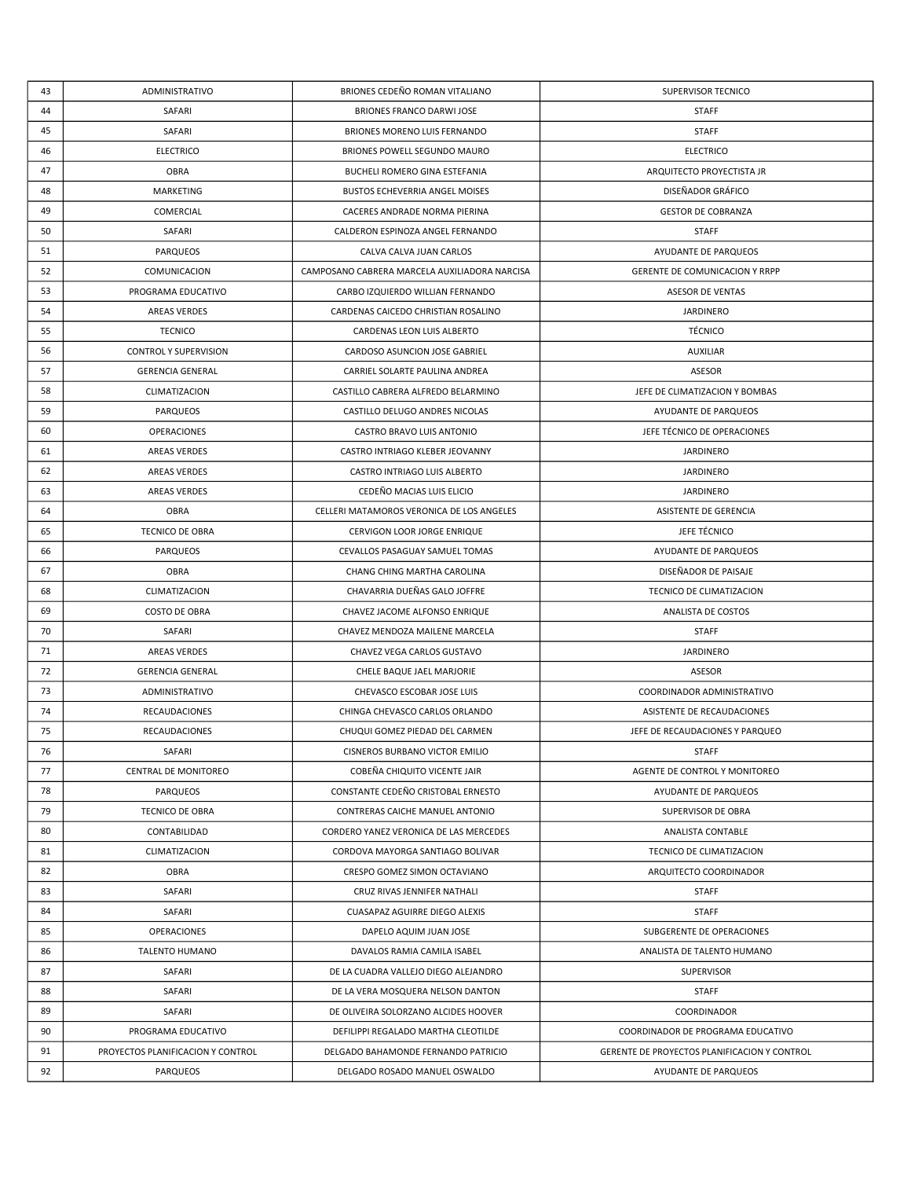| 43 | ADMINISTRATIVO                    | BRIONES CEDEÑO ROMAN VITALIANO                | SUPERVISOR TECNICO                           |
|----|-----------------------------------|-----------------------------------------------|----------------------------------------------|
| 44 | SAFARI                            | BRIONES FRANCO DARWI JOSE                     | <b>STAFF</b>                                 |
| 45 | SAFARI                            | BRIONES MORENO LUIS FERNANDO                  | <b>STAFF</b>                                 |
| 46 | <b>ELECTRICO</b>                  | BRIONES POWELL SEGUNDO MAURO                  | <b>ELECTRICO</b>                             |
| 47 | <b>OBRA</b>                       | <b>BUCHELI ROMERO GINA ESTEFANIA</b>          | ARQUITECTO PROYECTISTA JR                    |
| 48 | MARKETING                         | BUSTOS ECHEVERRIA ANGEL MOISES                | DISEÑADOR GRÁFICO                            |
| 49 | COMERCIAL                         | CACERES ANDRADE NORMA PIERINA                 | <b>GESTOR DE COBRANZA</b>                    |
| 50 | SAFARI                            | CALDERON ESPINOZA ANGEL FERNANDO              | <b>STAFF</b>                                 |
| 51 | <b>PARQUEOS</b>                   | CALVA CALVA JUAN CARLOS                       | AYUDANTE DE PARQUEOS                         |
| 52 | COMUNICACION                      | CAMPOSANO CABRERA MARCELA AUXILIADORA NARCISA | <b>GERENTE DE COMUNICACION Y RRPP</b>        |
| 53 | PROGRAMA EDUCATIVO                | CARBO IZQUIERDO WILLIAN FERNANDO              | <b>ASESOR DE VENTAS</b>                      |
| 54 | <b>AREAS VERDES</b>               | CARDENAS CAICEDO CHRISTIAN ROSALINO           | <b>JARDINERO</b>                             |
| 55 | <b>TECNICO</b>                    | CARDENAS LEON LUIS ALBERTO                    | TÉCNICO                                      |
| 56 | <b>CONTROL Y SUPERVISION</b>      | CARDOSO ASUNCION JOSE GABRIEL                 | <b>AUXILIAR</b>                              |
| 57 | <b>GERENCIA GENERAL</b>           | CARRIEL SOLARTE PAULINA ANDREA                | ASESOR                                       |
| 58 | CLIMATIZACION                     | CASTILLO CABRERA ALFREDO BELARMINO            | JEFE DE CLIMATIZACION Y BOMBAS               |
| 59 | <b>PARQUEOS</b>                   | CASTILLO DELUGO ANDRES NICOLAS                | AYUDANTE DE PARQUEOS                         |
| 60 | OPERACIONES                       | CASTRO BRAVO LUIS ANTONIO                     | JEFE TÉCNICO DE OPERACIONES                  |
| 61 | AREAS VERDES                      | CASTRO INTRIAGO KLEBER JEOVANNY               | <b>JARDINERO</b>                             |
| 62 | AREAS VERDES                      | CASTRO INTRIAGO LUIS ALBERTO                  | <b>JARDINERO</b>                             |
| 63 | AREAS VERDES                      | CEDEÑO MACIAS LUIS ELICIO                     | <b>JARDINERO</b>                             |
| 64 | <b>OBRA</b>                       | CELLERI MATAMOROS VERONICA DE LOS ANGELES     | ASISTENTE DE GERENCIA                        |
| 65 | TECNICO DE OBRA                   | CERVIGON LOOR JORGE ENRIQUE                   | JEFE TÉCNICO                                 |
| 66 | <b>PARQUEOS</b>                   | CEVALLOS PASAGUAY SAMUEL TOMAS                | AYUDANTE DE PARQUEOS                         |
| 67 | OBRA                              | CHANG CHING MARTHA CAROLINA                   | DISEÑADOR DE PAISAJE                         |
| 68 | CLIMATIZACION                     | CHAVARRIA DUEÑAS GALO JOFFRE                  | TECNICO DE CLIMATIZACION                     |
| 69 | <b>COSTO DE OBRA</b>              | CHAVEZ JACOME ALFONSO ENRIQUE                 | ANALISTA DE COSTOS                           |
| 70 | SAFARI                            | CHAVEZ MENDOZA MAILENE MARCELA                | <b>STAFF</b>                                 |
| 71 | <b>AREAS VERDES</b>               | CHAVEZ VEGA CARLOS GUSTAVO                    | JARDINERO                                    |
| 72 | <b>GERENCIA GENERAL</b>           | CHELE BAQUE JAEL MARJORIE                     | ASESOR                                       |
| 73 | ADMINISTRATIVO                    | CHEVASCO ESCOBAR JOSE LUIS                    | COORDINADOR ADMINISTRATIVO                   |
| 74 | <b>RECAUDACIONES</b>              | CHINGA CHEVASCO CARLOS ORLANDO                | ASISTENTE DE RECAUDACIONES                   |
| 75 | <b>RECAUDACIONES</b>              | CHUQUI GOMEZ PIEDAD DEL CARMEN                | JEFE DE RECAUDACIONES Y PARQUEO              |
| 76 | SAFARI                            | CISNEROS BURBANO VICTOR EMILIO                | STAFF                                        |
| 77 | CENTRAL DE MONITOREO              | COBEÑA CHIQUITO VICENTE JAIR                  | AGENTE DE CONTROL Y MONITOREO                |
| 78 | <b>PARQUEOS</b>                   | CONSTANTE CEDEÑO CRISTOBAL ERNESTO            | AYUDANTE DE PARQUEOS                         |
| 79 | <b>TECNICO DE OBRA</b>            | CONTRERAS CAICHE MANUEL ANTONIO               | <b>SUPERVISOR DE OBRA</b>                    |
| 80 | CONTABILIDAD                      | CORDERO YANEZ VERONICA DE LAS MERCEDES        | ANALISTA CONTABLE                            |
| 81 | CLIMATIZACION                     | CORDOVA MAYORGA SANTIAGO BOLIVAR              | TECNICO DE CLIMATIZACION                     |
| 82 | OBRA                              | CRESPO GOMEZ SIMON OCTAVIANO                  | ARQUITECTO COORDINADOR                       |
| 83 | SAFARI                            | CRUZ RIVAS JENNIFER NATHALI                   | <b>STAFF</b>                                 |
| 84 | SAFARI                            | CUASAPAZ AGUIRRE DIEGO ALEXIS                 | <b>STAFF</b>                                 |
| 85 | OPERACIONES                       | DAPELO AQUIM JUAN JOSE                        | SUBGERENTE DE OPERACIONES                    |
| 86 | <b>TALENTO HUMANO</b>             | DAVALOS RAMIA CAMILA ISABEL                   | ANALISTA DE TALENTO HUMANO                   |
| 87 | SAFARI                            | DE LA CUADRA VALLEJO DIEGO ALEJANDRO          | SUPERVISOR                                   |
| 88 | SAFARI                            | DE LA VERA MOSQUERA NELSON DANTON             | <b>STAFF</b>                                 |
| 89 | SAFARI                            | DE OLIVEIRA SOLORZANO ALCIDES HOOVER          | COORDINADOR                                  |
| 90 | PROGRAMA EDUCATIVO                | DEFILIPPI REGALADO MARTHA CLEOTILDE           | COORDINADOR DE PROGRAMA EDUCATIVO            |
| 91 | PROYECTOS PLANIFICACION Y CONTROL | DELGADO BAHAMONDE FERNANDO PATRICIO           | GERENTE DE PROYECTOS PLANIFICACION Y CONTROL |
| 92 | <b>PARQUEOS</b>                   | DELGADO ROSADO MANUEL OSWALDO                 | AYUDANTE DE PARQUEOS                         |
|    |                                   |                                               |                                              |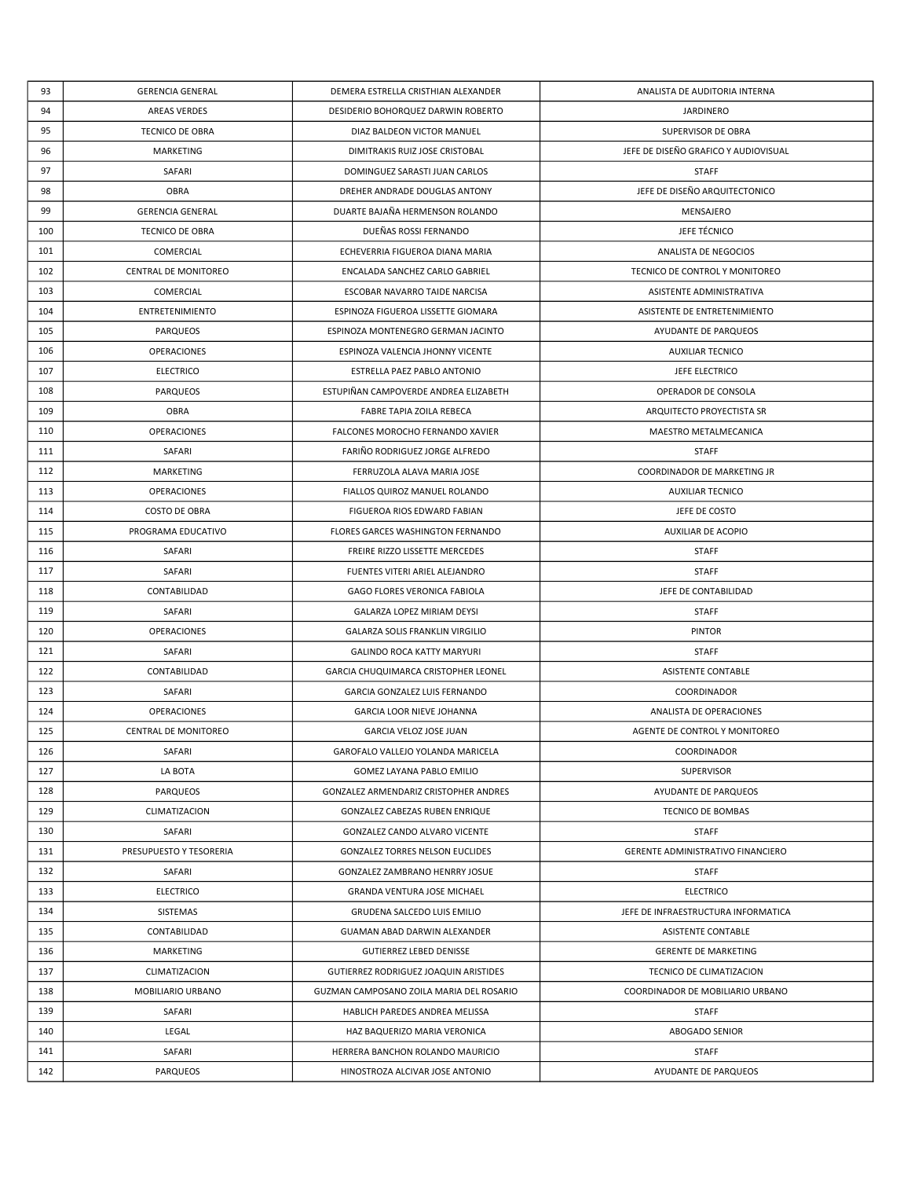| 93  | <b>GERENCIA GENERAL</b> | DEMERA ESTRELLA CRISTHIAN ALEXANDER      | ANALISTA DE AUDITORIA INTERNA        |
|-----|-------------------------|------------------------------------------|--------------------------------------|
| 94  | <b>AREAS VERDES</b>     | DESIDERIO BOHORQUEZ DARWIN ROBERTO       | <b>JARDINERO</b>                     |
| 95  | <b>TECNICO DE OBRA</b>  | DIAZ BALDEON VICTOR MANUEL               | SUPERVISOR DE OBRA                   |
| 96  | MARKETING               | DIMITRAKIS RUIZ JOSE CRISTOBAL           | JEFE DE DISEÑO GRAFICO Y AUDIOVISUAL |
| 97  | SAFARI                  | DOMINGUEZ SARASTI JUAN CARLOS            | <b>STAFF</b>                         |
| 98  | OBRA                    | DREHER ANDRADE DOUGLAS ANTONY            | JEFE DE DISEÑO ARQUITECTONICO        |
| 99  | <b>GERENCIA GENERAL</b> | DUARTE BAJAÑA HERMENSON ROLANDO          | MENSAJERO                            |
| 100 | TECNICO DE OBRA         | DUEÑAS ROSSI FERNANDO                    | JEFE TÉCNICO                         |
| 101 | COMERCIAL               | ECHEVERRIA FIGUEROA DIANA MARIA          | ANALISTA DE NEGOCIOS                 |
| 102 | CENTRAL DE MONITOREO    | ENCALADA SANCHEZ CARLO GABRIEL           | TECNICO DE CONTROL Y MONITOREO       |
| 103 | COMERCIAL               | ESCOBAR NAVARRO TAIDE NARCISA            | ASISTENTE ADMINISTRATIVA             |
| 104 | ENTRETENIMIENTO         | ESPINOZA FIGUEROA LISSETTE GIOMARA       | ASISTENTE DE ENTRETENIMIENTO         |
| 105 | <b>PARQUEOS</b>         | ESPINOZA MONTENEGRO GERMAN JACINTO       | AYUDANTE DE PARQUEOS                 |
| 106 | OPERACIONES             | ESPINOZA VALENCIA JHONNY VICENTE         | <b>AUXILIAR TECNICO</b>              |
| 107 | <b>ELECTRICO</b>        | ESTRELLA PAEZ PABLO ANTONIO              | JEFE ELECTRICO                       |
| 108 | <b>PARQUEOS</b>         | ESTUPIÑAN CAMPOVERDE ANDREA ELIZABETH    | OPERADOR DE CONSOLA                  |
| 109 | OBRA                    | FABRE TAPIA ZOILA REBECA                 | ARQUITECTO PROYECTISTA SR            |
| 110 | OPERACIONES             | FALCONES MOROCHO FERNANDO XAVIER         | MAESTRO METALMECANICA                |
| 111 | SAFARI                  | FARIÑO RODRIGUEZ JORGE ALFREDO           | <b>STAFF</b>                         |
| 112 | MARKETING               | FERRUZOLA ALAVA MARIA JOSE               | COORDINADOR DE MARKETING JR          |
| 113 | OPERACIONES             | FIALLOS QUIROZ MANUEL ROLANDO            | <b>AUXILIAR TECNICO</b>              |
| 114 | <b>COSTO DE OBRA</b>    | FIGUEROA RIOS EDWARD FABIAN              | JEFE DE COSTO                        |
| 115 | PROGRAMA EDUCATIVO      | FLORES GARCES WASHINGTON FERNANDO        | <b>AUXILIAR DE ACOPIO</b>            |
| 116 | SAFARI                  | FREIRE RIZZO LISSETTE MERCEDES           | <b>STAFF</b>                         |
| 117 | SAFARI                  | FUENTES VITERI ARIEL ALEJANDRO           | <b>STAFF</b>                         |
| 118 | CONTABILIDAD            | GAGO FLORES VERONICA FABIOLA             | JEFE DE CONTABILIDAD                 |
| 119 | SAFARI                  | GALARZA LOPEZ MIRIAM DEYSI               | <b>STAFF</b>                         |
| 120 | OPERACIONES             | GALARZA SOLIS FRANKLIN VIRGILIO          | <b>PINTOR</b>                        |
| 121 | SAFARI                  | <b>GALINDO ROCA KATTY MARYURI</b>        | <b>STAFF</b>                         |
| 122 | CONTABILIDAD            | GARCIA CHUQUIMARCA CRISTOPHER LEONEL     | <b>ASISTENTE CONTABLE</b>            |
| 123 | SAFARI                  | GARCIA GONZALEZ LUIS FERNANDO            | COORDINADOR                          |
| 124 | OPERACIONES             | <b>GARCIA LOOR NIEVE JOHANNA</b>         | ANALISTA DE OPERACIONES              |
| 125 | CENTRAL DE MONITOREO    | GARCIA VELOZ JOSE JUAN                   | AGENTE DE CONTROL Y MONITOREO        |
| 126 | SAFARI                  | GAROFALO VALLEJO YOLANDA MARICELA        | <b>COORDINADOR</b>                   |
| 127 | LA BOTA                 | GOMEZ LAYANA PABLO EMILIO                | SUPERVISOR                           |
| 128 | <b>PARQUEOS</b>         | GONZALEZ ARMENDARIZ CRISTOPHER ANDRES    | AYUDANTE DE PARQUEOS                 |
| 129 | CLIMATIZACION           | GONZALEZ CABEZAS RUBEN ENRIQUE           | TECNICO DE BOMBAS                    |
| 130 | SAFARI                  | GONZALEZ CANDO ALVARO VICENTE            | <b>STAFF</b>                         |
| 131 | PRESUPUESTO Y TESORERIA | <b>GONZALEZ TORRES NELSON EUCLIDES</b>   | GERENTE ADMINISTRATIVO FINANCIERO    |
| 132 | SAFARI                  | GONZALEZ ZAMBRANO HENRRY JOSUE           | <b>STAFF</b>                         |
| 133 | <b>ELECTRICO</b>        | <b>GRANDA VENTURA JOSE MICHAEL</b>       | <b>ELECTRICO</b>                     |
| 134 | SISTEMAS                | GRUDENA SALCEDO LUIS EMILIO              | JEFE DE INFRAESTRUCTURA INFORMATICA  |
| 135 | CONTABILIDAD            | GUAMAN ABAD DARWIN ALEXANDER             | <b>ASISTENTE CONTABLE</b>            |
| 136 | MARKETING               | GUTIERREZ LEBED DENISSE                  | <b>GERENTE DE MARKETING</b>          |
| 137 | CLIMATIZACION           | GUTIERREZ RODRIGUEZ JOAQUIN ARISTIDES    | TECNICO DE CLIMATIZACION             |
| 138 | MOBILIARIO URBANO       | GUZMAN CAMPOSANO ZOILA MARIA DEL ROSARIO | COORDINADOR DE MOBILIARIO URBANO     |
| 139 | SAFARI                  | HABLICH PAREDES ANDREA MELISSA           | <b>STAFF</b>                         |
| 140 | LEGAL                   | HAZ BAQUERIZO MARIA VERONICA             | ABOGADO SENIOR                       |
| 141 | SAFARI                  | HERRERA BANCHON ROLANDO MAURICIO         | <b>STAFF</b>                         |
| 142 | <b>PARQUEOS</b>         | HINOSTROZA ALCIVAR JOSE ANTONIO          | AYUDANTE DE PARQUEOS                 |
|     |                         |                                          |                                      |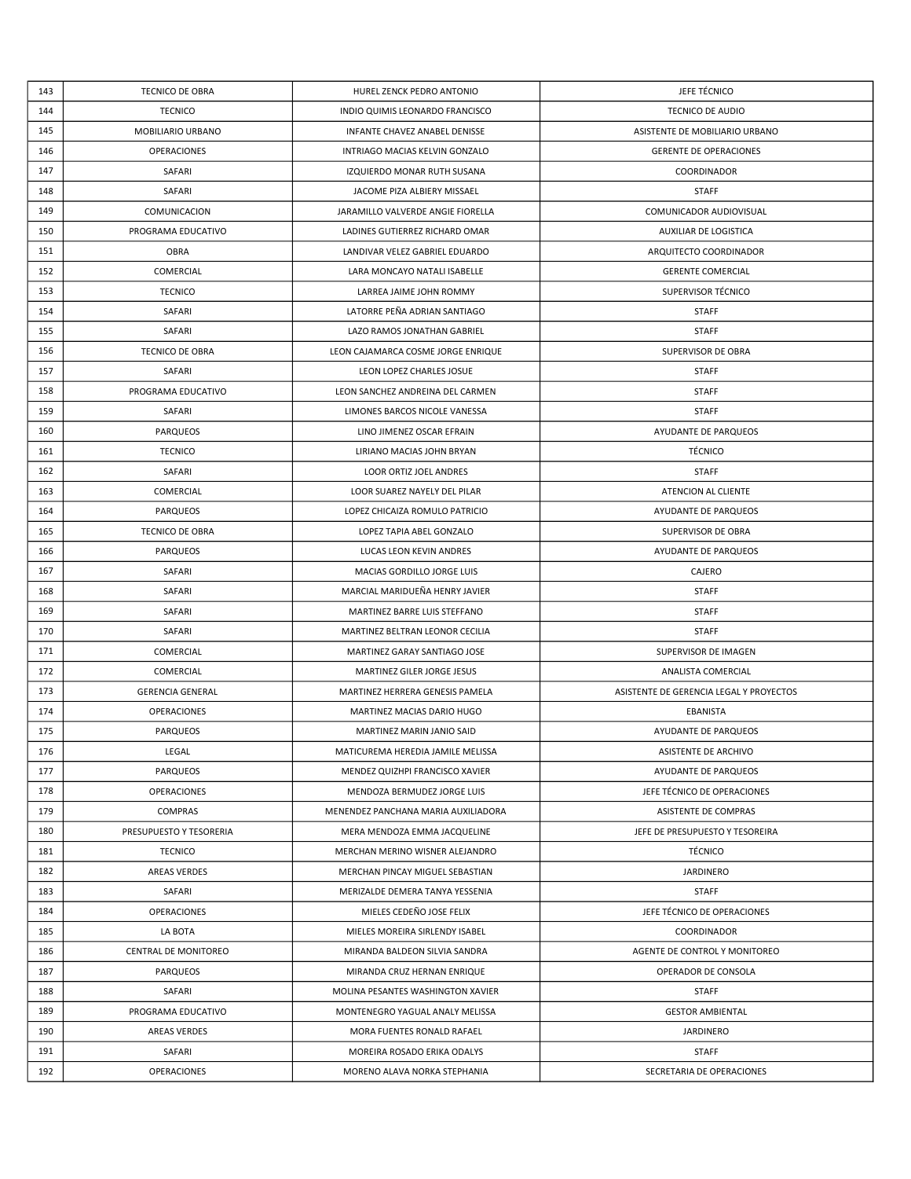| 143 | TECNICO DE OBRA             | HUREL ZENCK PEDRO ANTONIO           | JEFE TÉCNICO                            |
|-----|-----------------------------|-------------------------------------|-----------------------------------------|
| 144 | <b>TECNICO</b>              | INDIO QUIMIS LEONARDO FRANCISCO     | TECNICO DE AUDIO                        |
| 145 | MOBILIARIO URBANO           | INFANTE CHAVEZ ANABEL DENISSE       | ASISTENTE DE MOBILIARIO URBANO          |
| 146 | OPERACIONES                 | INTRIAGO MACIAS KELVIN GONZALO      | <b>GERENTE DE OPERACIONES</b>           |
| 147 | SAFARI                      | IZQUIERDO MONAR RUTH SUSANA         | COORDINADOR                             |
| 148 | SAFARI                      | JACOME PIZA ALBIERY MISSAEL         | <b>STAFF</b>                            |
| 149 | COMUNICACION                | JARAMILLO VALVERDE ANGIE FIORELLA   | COMUNICADOR AUDIOVISUAL                 |
| 150 | PROGRAMA EDUCATIVO          | LADINES GUTIERREZ RICHARD OMAR      | AUXILIAR DE LOGISTICA                   |
| 151 | <b>OBRA</b>                 | LANDIVAR VELEZ GABRIEL EDUARDO      | ARQUITECTO COORDINADOR                  |
| 152 | COMERCIAL                   | LARA MONCAYO NATALI ISABELLE        | <b>GERENTE COMERCIAL</b>                |
| 153 | <b>TECNICO</b>              | LARREA JAIME JOHN ROMMY             | SUPERVISOR TÉCNICO                      |
| 154 | SAFARI                      | LATORRE PEÑA ADRIAN SANTIAGO        | <b>STAFF</b>                            |
| 155 | SAFARI                      | LAZO RAMOS JONATHAN GABRIEL         | <b>STAFF</b>                            |
| 156 | TECNICO DE OBRA             | LEON CAJAMARCA COSME JORGE ENRIQUE  | SUPERVISOR DE OBRA                      |
| 157 | SAFARI                      | LEON LOPEZ CHARLES JOSUE            | <b>STAFF</b>                            |
| 158 | PROGRAMA EDUCATIVO          | LEON SANCHEZ ANDREINA DEL CARMEN    | <b>STAFF</b>                            |
| 159 | SAFARI                      | LIMONES BARCOS NICOLE VANESSA       | <b>STAFF</b>                            |
| 160 | <b>PARQUEOS</b>             | LINO JIMENEZ OSCAR EFRAIN           | AYUDANTE DE PARQUEOS                    |
| 161 | <b>TECNICO</b>              | LIRIANO MACIAS JOHN BRYAN           | <b>TÉCNICO</b>                          |
| 162 | SAFARI                      | LOOR ORTIZ JOEL ANDRES              | <b>STAFF</b>                            |
| 163 | COMERCIAL                   | LOOR SUAREZ NAYELY DEL PILAR        | ATENCION AL CLIENTE                     |
| 164 | <b>PARQUEOS</b>             | LOPEZ CHICAIZA ROMULO PATRICIO      | AYUDANTE DE PARQUEOS                    |
| 165 | TECNICO DE OBRA             | LOPEZ TAPIA ABEL GONZALO            | SUPERVISOR DE OBRA                      |
| 166 | <b>PARQUEOS</b>             | LUCAS LEON KEVIN ANDRES             | AYUDANTE DE PARQUEOS                    |
| 167 | SAFARI                      | MACIAS GORDILLO JORGE LUIS          | CAJERO                                  |
|     |                             |                                     |                                         |
| 168 | SAFARI                      | MARCIAL MARIDUEÑA HENRY JAVIER      | <b>STAFF</b>                            |
| 169 | SAFARI                      | MARTINEZ BARRE LUIS STEFFANO        | <b>STAFF</b>                            |
| 170 | SAFARI                      | MARTINEZ BELTRAN LEONOR CECILIA     | <b>STAFF</b>                            |
| 171 | COMERCIAL                   | MARTINEZ GARAY SANTIAGO JOSE        | SUPERVISOR DE IMAGEN                    |
| 172 | COMERCIAL                   | MARTINEZ GILER JORGE JESUS          | ANALISTA COMERCIAL                      |
| 173 | <b>GERENCIA GENERAL</b>     | MARTINEZ HERRERA GENESIS PAMELA     | ASISTENTE DE GERENCIA LEGAL Y PROYECTOS |
| 174 | OPERACIONES                 | MARTINEZ MACIAS DARIO HUGO          | EBANISTA                                |
| 175 | <b>PARQUEOS</b>             | MARTINEZ MARIN JANIO SAID           | AYUDANTE DE PARQUEOS                    |
| 176 | LEGAL                       | MATICUREMA HEREDIA JAMILE MELISSA   | ASISTENTE DE ARCHIVO                    |
| 177 | <b>PARQUEOS</b>             | MENDEZ QUIZHPI FRANCISCO XAVIER     | AYUDANTE DE PARQUEOS                    |
| 178 | OPERACIONES                 | MENDOZA BERMUDEZ JORGE LUIS         | JEFE TÉCNICO DE OPERACIONES             |
| 179 | <b>COMPRAS</b>              | MENENDEZ PANCHANA MARIA AUXILIADORA | <b>ASISTENTE DE COMPRAS</b>             |
| 180 | PRESUPUESTO Y TESORERIA     | MERA MENDOZA EMMA JACQUELINE        | JEFE DE PRESUPUESTO Y TESOREIRA         |
| 181 | <b>TECNICO</b>              | MERCHAN MERINO WISNER ALEJANDRO     | TÉCNICO                                 |
| 182 | <b>AREAS VERDES</b>         | MERCHAN PINCAY MIGUEL SEBASTIAN     | <b>JARDINERO</b>                        |
| 183 | SAFARI                      | MERIZALDE DEMERA TANYA YESSENIA     | <b>STAFF</b>                            |
| 184 | OPERACIONES                 | MIELES CEDEÑO JOSE FELIX            | JEFE TÉCNICO DE OPERACIONES             |
| 185 | LA BOTA                     | MIELES MOREIRA SIRLENDY ISABEL      | COORDINADOR                             |
| 186 | <b>CENTRAL DE MONITOREO</b> | MIRANDA BALDEON SILVIA SANDRA       | AGENTE DE CONTROL Y MONITOREO           |
| 187 | <b>PARQUEOS</b>             | MIRANDA CRUZ HERNAN ENRIQUE         | OPERADOR DE CONSOLA                     |
| 188 | SAFARI                      | MOLINA PESANTES WASHINGTON XAVIER   | <b>STAFF</b>                            |
| 189 | PROGRAMA EDUCATIVO          | MONTENEGRO YAGUAL ANALY MELISSA     | <b>GESTOR AMBIENTAL</b>                 |
| 190 | <b>AREAS VERDES</b>         | MORA FUENTES RONALD RAFAEL          | <b>JARDINERO</b>                        |
| 191 | SAFARI                      | MOREIRA ROSADO ERIKA ODALYS         | <b>STAFF</b>                            |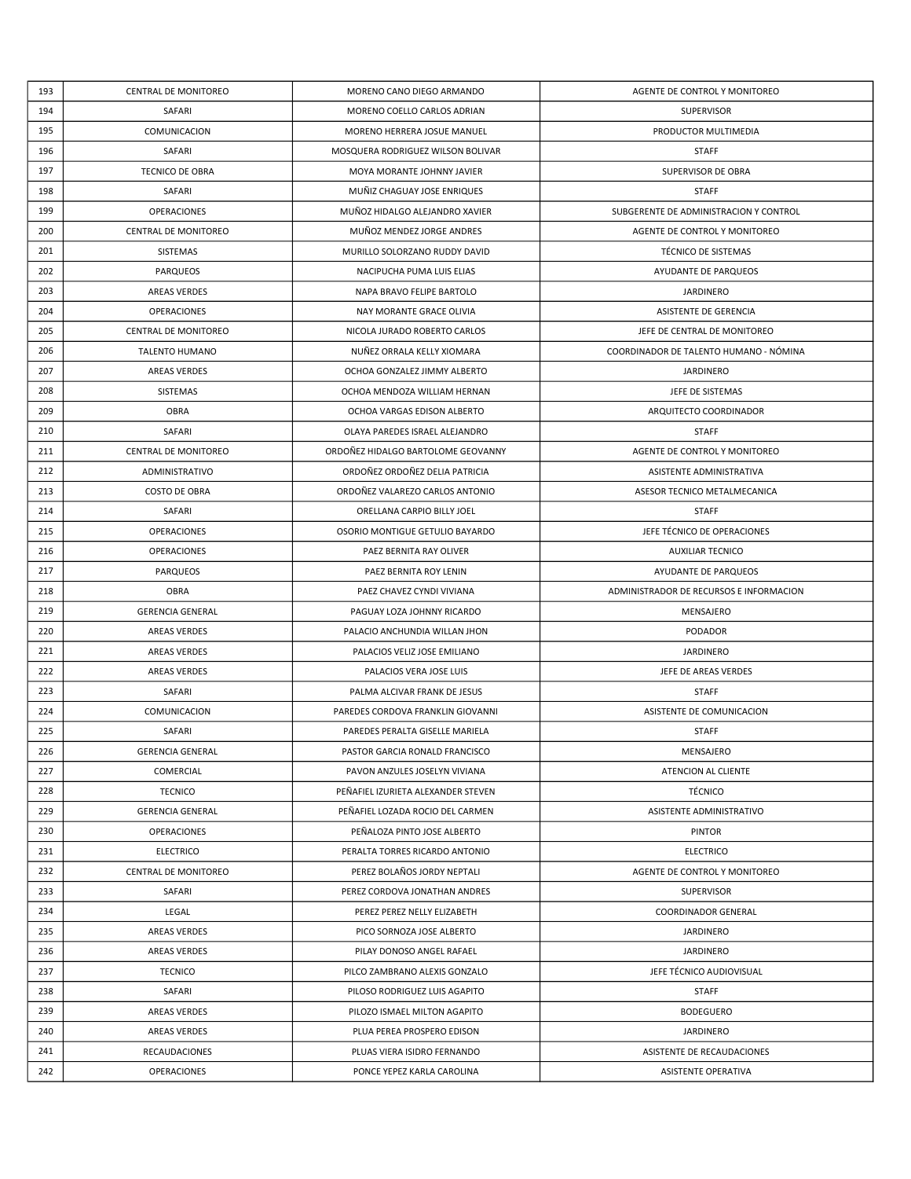| 193 | CENTRAL DE MONITOREO    | MORENO CANO DIEGO ARMANDO          | AGENTE DE CONTROL Y MONITOREO           |
|-----|-------------------------|------------------------------------|-----------------------------------------|
| 194 | SAFARI                  | MORENO COELLO CARLOS ADRIAN        | <b>SUPERVISOR</b>                       |
| 195 | COMUNICACION            | MORENO HERRERA JOSUE MANUEL        | PRODUCTOR MULTIMEDIA                    |
| 196 | SAFARI                  | MOSQUERA RODRIGUEZ WILSON BOLIVAR  | <b>STAFF</b>                            |
| 197 | TECNICO DE OBRA         | MOYA MORANTE JOHNNY JAVIER         | SUPERVISOR DE OBRA                      |
| 198 | SAFARI                  | MUÑIZ CHAGUAY JOSE ENRIQUES        | <b>STAFF</b>                            |
| 199 | OPERACIONES             | MUÑOZ HIDALGO ALEJANDRO XAVIER     | SUBGERENTE DE ADMINISTRACION Y CONTROL  |
| 200 | CENTRAL DE MONITOREO    | MUÑOZ MENDEZ JORGE ANDRES          | AGENTE DE CONTROL Y MONITOREO           |
| 201 | SISTEMAS                | MURILLO SOLORZANO RUDDY DAVID      | TÉCNICO DE SISTEMAS                     |
| 202 | PARQUEOS                | NACIPUCHA PUMA LUIS ELIAS          | AYUDANTE DE PARQUEOS                    |
| 203 | <b>AREAS VERDES</b>     | NAPA BRAVO FELIPE BARTOLO          | <b>JARDINERO</b>                        |
| 204 | OPERACIONES             | NAY MORANTE GRACE OLIVIA           | ASISTENTE DE GERENCIA                   |
| 205 | CENTRAL DE MONITOREO    | NICOLA JURADO ROBERTO CARLOS       | JEFE DE CENTRAL DE MONITOREO            |
| 206 | <b>TALENTO HUMANO</b>   | NUÑEZ ORRALA KELLY XIOMARA         | COORDINADOR DE TALENTO HUMANO - NÓMINA  |
| 207 | <b>AREAS VERDES</b>     | OCHOA GONZALEZ JIMMY ALBERTO       | JARDINERO                               |
| 208 | SISTEMAS                | OCHOA MENDOZA WILLIAM HERNAN       | JEFE DE SISTEMAS                        |
| 209 | OBRA                    | OCHOA VARGAS EDISON ALBERTO        | ARQUITECTO COORDINADOR                  |
| 210 | SAFARI                  | OLAYA PAREDES ISRAEL ALEJANDRO     | <b>STAFF</b>                            |
| 211 | CENTRAL DE MONITOREO    | ORDOÑEZ HIDALGO BARTOLOME GEOVANNY | AGENTE DE CONTROL Y MONITOREO           |
| 212 | ADMINISTRATIVO          | ORDOÑEZ ORDOÑEZ DELIA PATRICIA     | ASISTENTE ADMINISTRATIVA                |
| 213 | <b>COSTO DE OBRA</b>    | ORDOÑEZ VALAREZO CARLOS ANTONIO    | ASESOR TECNICO METALMECANICA            |
| 214 | SAFARI                  | ORELLANA CARPIO BILLY JOEL         | <b>STAFF</b>                            |
| 215 | <b>OPERACIONES</b>      | OSORIO MONTIGUE GETULIO BAYARDO    | JEFE TÉCNICO DE OPERACIONES             |
| 216 | OPERACIONES             | PAEZ BERNITA RAY OLIVER            | <b>AUXILIAR TECNICO</b>                 |
| 217 | <b>PARQUEOS</b>         | PAEZ BERNITA ROY LENIN             | AYUDANTE DE PARQUEOS                    |
| 218 | <b>OBRA</b>             | PAEZ CHAVEZ CYNDI VIVIANA          | ADMINISTRADOR DE RECURSOS E INFORMACION |
| 219 | <b>GERENCIA GENERAL</b> | PAGUAY LOZA JOHNNY RICARDO         | MENSAJERO                               |
| 220 | AREAS VERDES            | PALACIO ANCHUNDIA WILLAN JHON      | PODADOR                                 |
| 221 | <b>AREAS VERDES</b>     | PALACIOS VELIZ JOSE EMILIANO       | <b>JARDINERO</b>                        |
| 222 | AREAS VERDES            | PALACIOS VERA JOSE LUIS            | JEFE DE AREAS VERDES                    |
| 223 | SAFARI                  | PALMA ALCIVAR FRANK DE JESUS       | <b>STAFF</b>                            |
| 224 | COMUNICACION            | PAREDES CORDOVA FRANKLIN GIOVANNI  | ASISTENTE DE COMUNICACION               |
| 225 | SAFARI                  | PAREDES PERALTA GISELLE MARIELA    | <b>STAFF</b>                            |
| 226 | <b>GERENCIA GENERAL</b> | PASTOR GARCIA RONALD FRANCISCO     | MENSAJERO                               |
| 227 | COMERCIAL               | PAVON ANZULES JOSELYN VIVIANA      | ATENCION AL CLIENTE                     |
| 228 | <b>TECNICO</b>          | PEÑAFIEL IZURIETA ALEXANDER STEVEN | <b>TÉCNICO</b>                          |
| 229 | <b>GERENCIA GENERAL</b> | PEÑAFIEL LOZADA ROCIO DEL CARMEN   | ASISTENTE ADMINISTRATIVO                |
| 230 | OPERACIONES             | PEÑALOZA PINTO JOSE ALBERTO        | <b>PINTOR</b>                           |
| 231 | <b>ELECTRICO</b>        | PERALTA TORRES RICARDO ANTONIO     | <b>ELECTRICO</b>                        |
| 232 | CENTRAL DE MONITOREO    | PEREZ BOLAÑOS JORDY NEPTALI        | AGENTE DE CONTROL Y MONITOREO           |
| 233 | SAFARI                  | PEREZ CORDOVA JONATHAN ANDRES      | <b>SUPERVISOR</b>                       |
| 234 | LEGAL                   | PEREZ PEREZ NELLY ELIZABETH        | <b>COORDINADOR GENERAL</b>              |
| 235 | <b>AREAS VERDES</b>     | PICO SORNOZA JOSE ALBERTO          | <b>JARDINERO</b>                        |
| 236 | <b>AREAS VERDES</b>     | PILAY DONOSO ANGEL RAFAEL          | <b>JARDINERO</b>                        |
| 237 | <b>TECNICO</b>          | PILCO ZAMBRANO ALEXIS GONZALO      | JEFE TÉCNICO AUDIOVISUAL                |
| 238 | SAFARI                  | PILOSO RODRIGUEZ LUIS AGAPITO      | <b>STAFF</b>                            |
| 239 | <b>AREAS VERDES</b>     | PILOZO ISMAEL MILTON AGAPITO       | <b>BODEGUERO</b>                        |
| 240 | <b>AREAS VERDES</b>     | PLUA PEREA PROSPERO EDISON         | <b>JARDINERO</b>                        |
| 241 | <b>RECAUDACIONES</b>    | PLUAS VIERA ISIDRO FERNANDO        | ASISTENTE DE RECAUDACIONES              |
| 242 | <b>OPERACIONES</b>      | PONCE YEPEZ KARLA CAROLINA         | ASISTENTE OPERATIVA                     |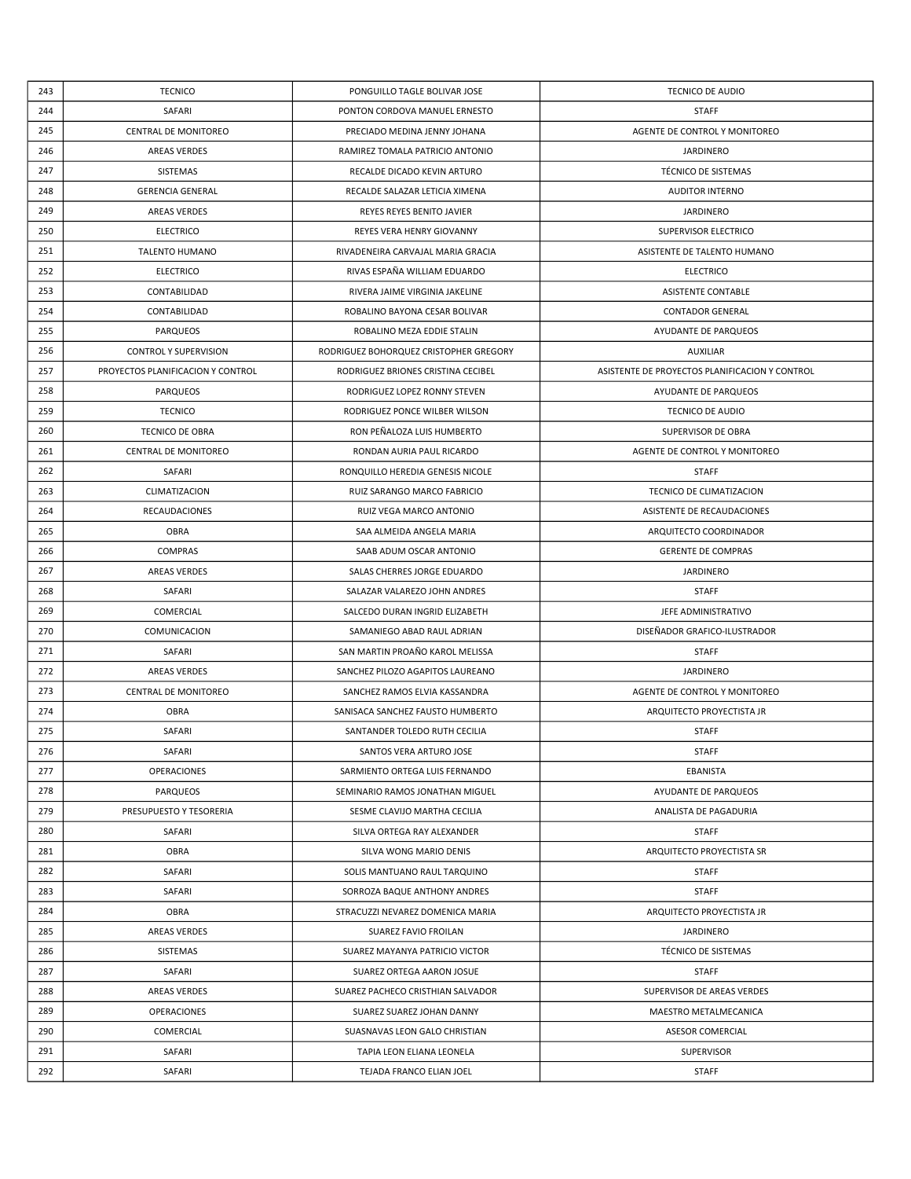| 243        | <b>TECNICO</b>                    | PONGUILLO TAGLE BOLIVAR JOSE           | TECNICO DE AUDIO                               |
|------------|-----------------------------------|----------------------------------------|------------------------------------------------|
| 244        | SAFARI                            | PONTON CORDOVA MANUEL ERNESTO          | <b>STAFF</b>                                   |
| 245        | <b>CENTRAL DE MONITOREO</b>       | PRECIADO MEDINA JENNY JOHANA           | AGENTE DE CONTROL Y MONITOREO                  |
| 246        | <b>AREAS VERDES</b>               | RAMIREZ TOMALA PATRICIO ANTONIO        | <b>JARDINERO</b>                               |
| 247        | SISTEMAS                          | RECALDE DICADO KEVIN ARTURO            | TÉCNICO DE SISTEMAS                            |
| 248        | <b>GERENCIA GENERAL</b>           | RECALDE SALAZAR LETICIA XIMENA         | <b>AUDITOR INTERNO</b>                         |
| 249        | <b>AREAS VERDES</b>               | REYES REYES BENITO JAVIER              | <b>JARDINERO</b>                               |
| 250        | <b>ELECTRICO</b>                  | REYES VERA HENRY GIOVANNY              | SUPERVISOR ELECTRICO                           |
| 251        | <b>TALENTO HUMANO</b>             | RIVADENEIRA CARVAJAL MARIA GRACIA      | ASISTENTE DE TALENTO HUMANO                    |
| 252        | <b>ELECTRICO</b>                  | RIVAS ESPAÑA WILLIAM EDUARDO           | <b>ELECTRICO</b>                               |
| 253        | CONTABILIDAD                      | RIVERA JAIME VIRGINIA JAKELINE         | <b>ASISTENTE CONTABLE</b>                      |
| 254        | CONTABILIDAD                      | ROBALINO BAYONA CESAR BOLIVAR          | <b>CONTADOR GENERAL</b>                        |
| 255        | <b>PARQUEOS</b>                   | ROBALINO MEZA EDDIE STALIN             | AYUDANTE DE PARQUEOS                           |
| 256        | <b>CONTROL Y SUPERVISION</b>      | RODRIGUEZ BOHORQUEZ CRISTOPHER GREGORY | <b>AUXILIAR</b>                                |
| 257        | PROYECTOS PLANIFICACION Y CONTROL | RODRIGUEZ BRIONES CRISTINA CECIBEL     | ASISTENTE DE PROYECTOS PLANIFICACION Y CONTROL |
| 258        | PARQUEOS                          | RODRIGUEZ LOPEZ RONNY STEVEN           | AYUDANTE DE PARQUEOS                           |
| 259        | <b>TECNICO</b>                    | RODRIGUEZ PONCE WILBER WILSON          | TECNICO DE AUDIO                               |
| 260        | TECNICO DE OBRA                   | RON PEÑALOZA LUIS HUMBERTO             | SUPERVISOR DE OBRA                             |
| 261        | CENTRAL DE MONITOREO              | RONDAN AURIA PAUL RICARDO              | AGENTE DE CONTROL Y MONITOREO                  |
| 262        | SAFARI                            | RONQUILLO HEREDIA GENESIS NICOLE       | <b>STAFF</b>                                   |
| 263        | CLIMATIZACION                     | RUIZ SARANGO MARCO FABRICIO            | TECNICO DE CLIMATIZACION                       |
| 264        | RECAUDACIONES                     | RUIZ VEGA MARCO ANTONIO                | ASISTENTE DE RECAUDACIONES                     |
| 265        | OBRA                              | SAA ALMEIDA ANGELA MARIA               | ARQUITECTO COORDINADOR                         |
| 266        | <b>COMPRAS</b>                    | SAAB ADUM OSCAR ANTONIO                | <b>GERENTE DE COMPRAS</b>                      |
| 267        | AREAS VERDES                      | SALAS CHERRES JORGE EDUARDO            | <b>JARDINERO</b>                               |
| 268        | SAFARI                            | SALAZAR VALAREZO JOHN ANDRES           | <b>STAFF</b>                                   |
| 269        | COMERCIAL                         | SALCEDO DURAN INGRID ELIZABETH         | JEFE ADMINISTRATIVO                            |
| 270        | COMUNICACION                      | SAMANIEGO ABAD RAUL ADRIAN             | DISEÑADOR GRAFICO-ILUSTRADOR                   |
| 271        | SAFARI                            | SAN MARTIN PROAÑO KAROL MELISSA        | <b>STAFF</b>                                   |
| 272        | <b>AREAS VERDES</b>               | SANCHEZ PILOZO AGAPITOS LAUREANO       | <b>JARDINERO</b>                               |
| 273        | <b>CENTRAL DE MONITOREO</b>       | SANCHEZ RAMOS ELVIA KASSANDRA          | AGENTE DE CONTROL Y MONITOREO                  |
| 274        | OBRA                              | SANISACA SANCHEZ FAUSTO HUMBERTO       | ARQUITECTO PROYECTISTA JR                      |
| 275        | SAFARI                            | SANTANDER TOLEDO RUTH CECILIA          | <b>STAFF</b>                                   |
| 276        | SAFARI                            | SANTOS VERA ARTURO JOSE                | STAFF                                          |
| 277        | OPERACIONES                       | SARMIENTO ORTEGA LUIS FERNANDO         | EBANISTA                                       |
| 278        | <b>PARQUEOS</b>                   | SEMINARIO RAMOS JONATHAN MIGUEL        | AYUDANTE DE PARQUEOS                           |
| 279        | PRESUPUESTO Y TESORERIA           | SESME CLAVIJO MARTHA CECILIA           | ANALISTA DE PAGADURIA                          |
| 280        | SAFARI                            | SILVA ORTEGA RAY ALEXANDER             | <b>STAFF</b>                                   |
| 281        | OBRA                              | SILVA WONG MARIO DENIS                 | ARQUITECTO PROYECTISTA SR                      |
| 282        | SAFARI                            | SOLIS MANTUANO RAUL TARQUINO           | <b>STAFF</b>                                   |
| 283        | SAFARI                            | SORROZA BAQUE ANTHONY ANDRES           | <b>STAFF</b>                                   |
| 284        | OBRA                              | STRACUZZI NEVAREZ DOMENICA MARIA       | ARQUITECTO PROYECTISTA JR                      |
| 285        | AREAS VERDES                      | SUAREZ FAVIO FROILAN                   | <b>JARDINERO</b>                               |
| 286        | SISTEMAS                          | SUAREZ MAYANYA PATRICIO VICTOR         | TÉCNICO DE SISTEMAS                            |
| 287        | SAFARI                            | SUAREZ ORTEGA AARON JOSUE              | <b>STAFF</b>                                   |
| 288        | <b>AREAS VERDES</b>               | SUAREZ PACHECO CRISTHIAN SALVADOR      | SUPERVISOR DE AREAS VERDES                     |
|            | OPERACIONES                       |                                        |                                                |
| 289<br>290 |                                   | SUAREZ SUAREZ JOHAN DANNY              | MAESTRO METALMECANICA                          |
|            | COMERCIAL                         | SUASNAVAS LEON GALO CHRISTIAN          | ASESOR COMERCIAL                               |
| 291        | SAFARI                            | TAPIA LEON ELIANA LEONELA              | <b>SUPERVISOR</b>                              |
| 292        | SAFARI                            | TEJADA FRANCO ELIAN JOEL               | <b>STAFF</b>                                   |